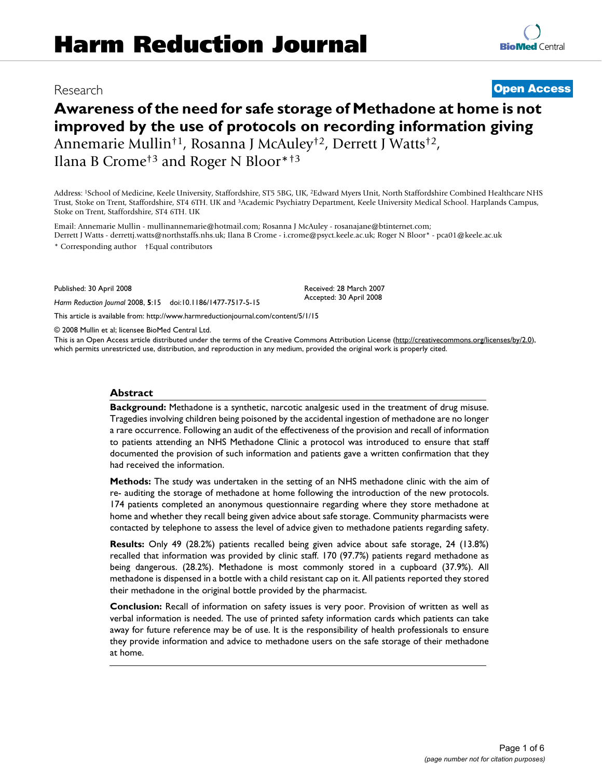# Research **[Open Access](http://www.biomedcentral.com/info/about/charter/)**

**[BioMed](http://www.biomedcentral.com/)** Central

# **Awareness of the need for safe storage of Methadone at home is not improved by the use of protocols on recording information giving** Annemarie Mullin†1, Rosanna J McAuley†2, Derrett J Watts†2, Ilana B Crome†3 and Roger N Bloor\*†3

Address: 1School of Medicine, Keele University, Staffordshire, ST5 5BG, UK, 2Edward Myers Unit, North Staffordshire Combined Healthcare NHS Trust, Stoke on Trent, Staffordshire, ST4 6TH. UK and 3Academic Psychiatry Department, Keele University Medical School. Harplands Campus, Stoke on Trent, Staffordshire, ST4 6TH. UK

Email: Annemarie Mullin - mullinannemarie@hotmail.com; Rosanna J McAuley - rosanajane@btinternet.com; Derrett J Watts - derrettj.watts@northstaffs.nhs.uk; Ilana B Crome - i.crome@psyct.keele.ac.uk; Roger N Bloor\* - pca01@keele.ac.uk

\* Corresponding author †Equal contributors

Published: 30 April 2008

*Harm Reduction Journal* 2008, **5**:15 doi:10.1186/1477-7517-5-15

Received: 28 March 2007 Accepted: 30 April 2008

[This article is available from: http://www.harmreductionjournal.com/content/5/1/15](http://www.harmreductionjournal.com/content/5/1/15)

© 2008 Mullin et al; licensee BioMed Central Ltd.

This is an Open Access article distributed under the terms of the Creative Commons Attribution License [\(http://creativecommons.org/licenses/by/2.0\)](http://creativecommons.org/licenses/by/2.0), which permits unrestricted use, distribution, and reproduction in any medium, provided the original work is properly cited.

#### **Abstract**

**Background:** Methadone is a synthetic, narcotic analgesic used in the treatment of drug misuse. Tragedies involving children being poisoned by the accidental ingestion of methadone are no longer a rare occurrence. Following an audit of the effectiveness of the provision and recall of information to patients attending an NHS Methadone Clinic a protocol was introduced to ensure that staff documented the provision of such information and patients gave a written confirmation that they had received the information.

**Methods:** The study was undertaken in the setting of an NHS methadone clinic with the aim of re- auditing the storage of methadone at home following the introduction of the new protocols. 174 patients completed an anonymous questionnaire regarding where they store methadone at home and whether they recall being given advice about safe storage. Community pharmacists were contacted by telephone to assess the level of advice given to methadone patients regarding safety.

**Results:** Only 49 (28.2%) patients recalled being given advice about safe storage, 24 (13.8%) recalled that information was provided by clinic staff. 170 (97.7%) patients regard methadone as being dangerous. (28.2%). Methadone is most commonly stored in a cupboard (37.9%). All methadone is dispensed in a bottle with a child resistant cap on it. All patients reported they stored their methadone in the original bottle provided by the pharmacist.

**Conclusion:** Recall of information on safety issues is very poor. Provision of written as well as verbal information is needed. The use of printed safety information cards which patients can take away for future reference may be of use. It is the responsibility of health professionals to ensure they provide information and advice to methadone users on the safe storage of their methadone at home.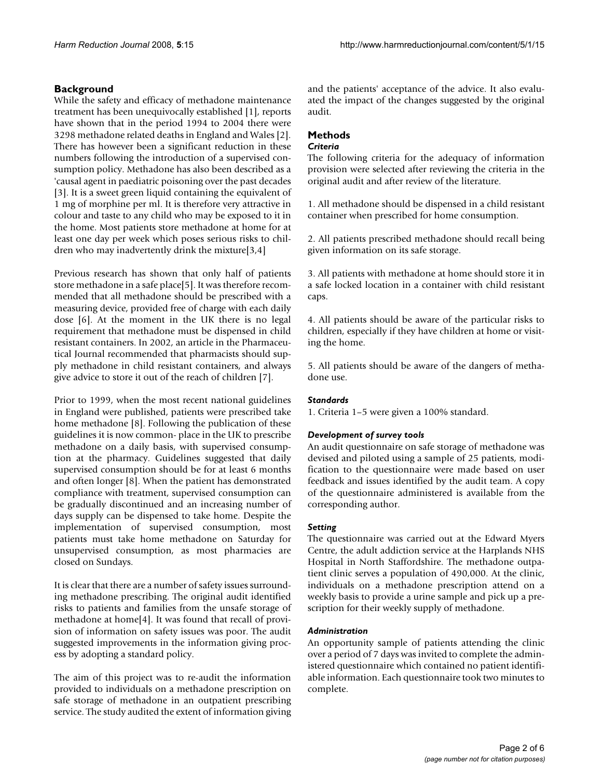# **Background**

While the safety and efficacy of methadone maintenance treatment has been unequivocally established [1], reports have shown that in the period 1994 to 2004 there were 3298 methadone related deaths in England and Wales [2]. There has however been a significant reduction in these numbers following the introduction of a supervised consumption policy. Methadone has also been described as a 'causal agent in paediatric poisoning over the past decades [3]. It is a sweet green liquid containing the equivalent of 1 mg of morphine per ml. It is therefore very attractive in colour and taste to any child who may be exposed to it in the home. Most patients store methadone at home for at least one day per week which poses serious risks to children who may inadvertently drink the mixture[3,4]

Previous research has shown that only half of patients store methadone in a safe place[5]. It was therefore recommended that all methadone should be prescribed with a measuring device, provided free of charge with each daily dose [6]. At the moment in the UK there is no legal requirement that methadone must be dispensed in child resistant containers. In 2002, an article in the Pharmaceutical Journal recommended that pharmacists should supply methadone in child resistant containers, and always give advice to store it out of the reach of children [7].

Prior to 1999, when the most recent national guidelines in England were published, patients were prescribed take home methadone [8]. Following the publication of these guidelines it is now common- place in the UK to prescribe methadone on a daily basis, with supervised consumption at the pharmacy. Guidelines suggested that daily supervised consumption should be for at least 6 months and often longer [8]. When the patient has demonstrated compliance with treatment, supervised consumption can be gradually discontinued and an increasing number of days supply can be dispensed to take home. Despite the implementation of supervised consumption, most patients must take home methadone on Saturday for unsupervised consumption, as most pharmacies are closed on Sundays.

It is clear that there are a number of safety issues surrounding methadone prescribing. The original audit identified risks to patients and families from the unsafe storage of methadone at home[4]. It was found that recall of provision of information on safety issues was poor. The audit suggested improvements in the information giving process by adopting a standard policy.

The aim of this project was to re-audit the information provided to individuals on a methadone prescription on safe storage of methadone in an outpatient prescribing service. The study audited the extent of information giving and the patients' acceptance of the advice. It also evaluated the impact of the changes suggested by the original audit.

# **Methods**

## *Criteria*

The following criteria for the adequacy of information provision were selected after reviewing the criteria in the original audit and after review of the literature.

1. All methadone should be dispensed in a child resistant container when prescribed for home consumption.

2. All patients prescribed methadone should recall being given information on its safe storage.

3. All patients with methadone at home should store it in a safe locked location in a container with child resistant caps.

4. All patients should be aware of the particular risks to children, especially if they have children at home or visiting the home.

5. All patients should be aware of the dangers of methadone use.

## *Standards*

1. Criteria 1–5 were given a 100% standard.

## *Development of survey tools*

An audit questionnaire on safe storage of methadone was devised and piloted using a sample of 25 patients, modification to the questionnaire were made based on user feedback and issues identified by the audit team. A copy of the questionnaire administered is available from the corresponding author.

## *Setting*

The questionnaire was carried out at the Edward Myers Centre, the adult addiction service at the Harplands NHS Hospital in North Staffordshire. The methadone outpatient clinic serves a population of 490,000. At the clinic, individuals on a methadone prescription attend on a weekly basis to provide a urine sample and pick up a prescription for their weekly supply of methadone.

#### *Administration*

An opportunity sample of patients attending the clinic over a period of 7 days was invited to complete the administered questionnaire which contained no patient identifiable information. Each questionnaire took two minutes to complete.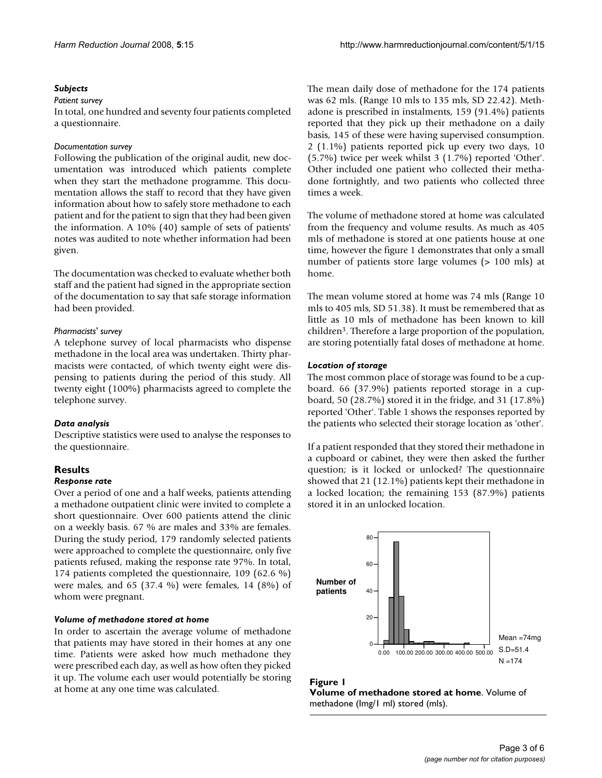#### *Subjects*

#### *Patient survey*

In total, one hundred and seventy four patients completed a questionnaire.

#### *Documentation survey*

Following the publication of the original audit, new documentation was introduced which patients complete when they start the methadone programme. This documentation allows the staff to record that they have given information about how to safely store methadone to each patient and for the patient to sign that they had been given the information. A 10% (40) sample of sets of patients' notes was audited to note whether information had been given.

The documentation was checked to evaluate whether both staff and the patient had signed in the appropriate section of the documentation to say that safe storage information had been provided.

#### *Pharmacists' survey*

A telephone survey of local pharmacists who dispense methadone in the local area was undertaken. Thirty pharmacists were contacted, of which twenty eight were dispensing to patients during the period of this study. All twenty eight (100%) pharmacists agreed to complete the telephone survey.

#### *Data analysis*

Descriptive statistics were used to analyse the responses to the questionnaire.

# **Results**

#### *Response rate*

Over a period of one and a half weeks, patients attending a methadone outpatient clinic were invited to complete a short questionnaire. Over 600 patients attend the clinic on a weekly basis. 67 % are males and 33% are females. During the study period, 179 randomly selected patients were approached to complete the questionnaire, only five patients refused, making the response rate 97%. In total, 174 patients completed the questionnaire, 109 (62.6 %) were males, and 65 (37.4 %) were females, 14 (8%) of whom were pregnant.

#### *Volume of methadone stored at home*

In order to ascertain the average volume of methadone that patients may have stored in their homes at any one time. Patients were asked how much methadone they were prescribed each day, as well as how often they picked it up. The volume each user would potentially be storing at home at any one time was calculated.

The mean daily dose of methadone for the 174 patients was 62 mls. (Range 10 mls to 135 mls, SD 22.42). Methadone is prescribed in instalments, 159 (91.4%) patients reported that they pick up their methadone on a daily basis, 145 of these were having supervised consumption. 2 (1.1%) patients reported pick up every two days, 10 (5.7%) twice per week whilst 3 (1.7%) reported 'Other'. Other included one patient who collected their methadone fortnightly, and two patients who collected three times a week.

The volume of methadone stored at home was calculated from the frequency and volume results. As much as 405 mls of methadone is stored at one patients house at one time, however the figure 1 demonstrates that only a small number of patients store large volumes (> 100 mls) at home.

The mean volume stored at home was 74 mls (Range 10 mls to 405 mls, SD 51.38). It must be remembered that as little as 10 mls of methadone has been known to kill children3. Therefore a large proportion of the population, are storing potentially fatal doses of methadone at home.

#### *Location of storage*

The most common place of storage was found to be a cupboard. 66 (37.9%) patients reported storage in a cupboard, 50 (28.7%) stored it in the fridge, and 31 (17.8%) reported 'Other'. Table 1 shows the responses reported by the patients who selected their storage location as 'other'.

If a patient responded that they stored their methadone in a cupboard or cabinet, they were then asked the further question; is it locked or unlocked? The questionnaire showed that 21 (12.1%) patients kept their methadone in a locked location; the remaining 153 (87.9%) patients stored it in an unlocked location.



#### Figure 1

**Volume of methadone stored at home**. Volume of methadone (Img/1 ml) stored (mls).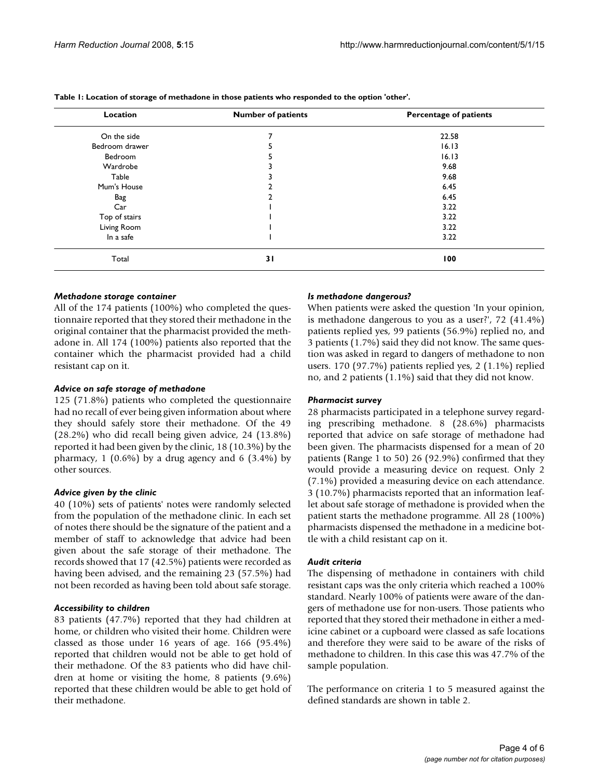| Location       | <b>Number of patients</b> | <b>Percentage of patients</b> |
|----------------|---------------------------|-------------------------------|
| On the side    | 7                         | 22.58                         |
| Bedroom drawer | ב                         | 16.13                         |
| Bedroom        |                           | 16.13                         |
| Wardrobe       |                           | 9.68                          |
| Table          |                           | 9.68                          |
| Mum's House    |                           | 6.45                          |
| Bag            |                           | 6.45                          |
| Car            |                           | 3.22                          |
| Top of stairs  |                           | 3.22                          |
| Living Room    |                           | 3.22                          |
| In a safe      |                           | 3.22                          |
| Total          | 31                        | 100                           |

**Table 1: Location of storage of methadone in those patients who responded to the option 'other'.**

#### *Methadone storage container*

All of the 174 patients (100%) who completed the questionnaire reported that they stored their methadone in the original container that the pharmacist provided the methadone in. All 174 (100%) patients also reported that the container which the pharmacist provided had a child resistant cap on it.

## *Advice on safe storage of methadone*

125 (71.8%) patients who completed the questionnaire had no recall of ever being given information about where they should safely store their methadone. Of the 49 (28.2%) who did recall being given advice, 24 (13.8%) reported it had been given by the clinic, 18 (10.3%) by the pharmacy,  $1$  (0.6%) by a drug agency and 6 (3.4%) by other sources.

## *Advice given by the clinic*

40 (10%) sets of patients' notes were randomly selected from the population of the methadone clinic. In each set of notes there should be the signature of the patient and a member of staff to acknowledge that advice had been given about the safe storage of their methadone. The records showed that 17 (42.5%) patients were recorded as having been advised, and the remaining 23 (57.5%) had not been recorded as having been told about safe storage.

#### *Accessibility to children*

83 patients (47.7%) reported that they had children at home, or children who visited their home. Children were classed as those under 16 years of age. 166 (95.4%) reported that children would not be able to get hold of their methadone. Of the 83 patients who did have children at home or visiting the home, 8 patients (9.6%) reported that these children would be able to get hold of their methadone.

### *Is methadone dangerous?*

When patients were asked the question 'In your opinion, is methadone dangerous to you as a user?', 72 (41.4%) patients replied yes, 99 patients (56.9%) replied no, and 3 patients (1.7%) said they did not know. The same question was asked in regard to dangers of methadone to non users. 170 (97.7%) patients replied yes, 2 (1.1%) replied no, and 2 patients (1.1%) said that they did not know.

#### *Pharmacist survey*

28 pharmacists participated in a telephone survey regarding prescribing methadone. 8 (28.6%) pharmacists reported that advice on safe storage of methadone had been given. The pharmacists dispensed for a mean of 20 patients (Range 1 to 50) 26 (92.9%) confirmed that they would provide a measuring device on request. Only 2 (7.1%) provided a measuring device on each attendance. 3 (10.7%) pharmacists reported that an information leaflet about safe storage of methadone is provided when the patient starts the methadone programme. All 28 (100%) pharmacists dispensed the methadone in a medicine bottle with a child resistant cap on it.

#### *Audit criteria*

The dispensing of methadone in containers with child resistant caps was the only criteria which reached a 100% standard. Nearly 100% of patients were aware of the dangers of methadone use for non-users. Those patients who reported that they stored their methadone in either a medicine cabinet or a cupboard were classed as safe locations and therefore they were said to be aware of the risks of methadone to children. In this case this was 47.7% of the sample population.

The performance on criteria 1 to 5 measured against the defined standards are shown in table 2.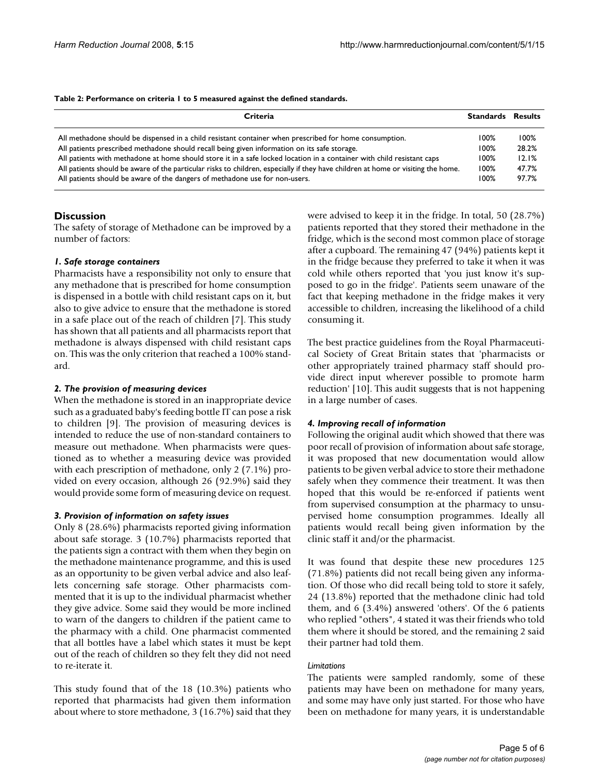#### **Table 2: Performance on criteria 1 to 5 measured against the defined standards.**

| Criteria                                                                                                                         | <b>Standards</b> | <b>Results</b> |
|----------------------------------------------------------------------------------------------------------------------------------|------------------|----------------|
| All methadone should be dispensed in a child resistant container when prescribed for home consumption.                           |                  | 100%           |
| All patients prescribed methadone should recall being given information on its safe storage.                                     |                  | 28.2%          |
| All patients with methadone at home should store it in a safe locked location in a container with child resistant caps           |                  | 12.1%          |
| All patients should be aware of the particular risks to children, especially if they have children at home or visiting the home. |                  | 47.7%          |
| All patients should be aware of the dangers of methadone use for non-users.                                                      | 100%             | 97.7%          |

## **Discussion**

The safety of storage of Methadone can be improved by a number of factors:

## *1. Safe storage containers*

Pharmacists have a responsibility not only to ensure that any methadone that is prescribed for home consumption is dispensed in a bottle with child resistant caps on it, but also to give advice to ensure that the methadone is stored in a safe place out of the reach of children [7]. This study has shown that all patients and all pharmacists report that methadone is always dispensed with child resistant caps on. This was the only criterion that reached a 100% standard.

### *2. The provision of measuring devices*

When the methadone is stored in an inappropriate device such as a graduated baby's feeding bottle IT can pose a risk to children [9]. The provision of measuring devices is intended to reduce the use of non-standard containers to measure out methadone. When pharmacists were questioned as to whether a measuring device was provided with each prescription of methadone, only 2 (7.1%) provided on every occasion, although 26 (92.9%) said they would provide some form of measuring device on request.

#### *3. Provision of information on safety issues*

Only 8 (28.6%) pharmacists reported giving information about safe storage. 3 (10.7%) pharmacists reported that the patients sign a contract with them when they begin on the methadone maintenance programme, and this is used as an opportunity to be given verbal advice and also leaflets concerning safe storage. Other pharmacists commented that it is up to the individual pharmacist whether they give advice. Some said they would be more inclined to warn of the dangers to children if the patient came to the pharmacy with a child. One pharmacist commented that all bottles have a label which states it must be kept out of the reach of children so they felt they did not need to re-iterate it.

This study found that of the 18 (10.3%) patients who reported that pharmacists had given them information about where to store methadone, 3 (16.7%) said that they were advised to keep it in the fridge. In total, 50 (28.7%) patients reported that they stored their methadone in the fridge, which is the second most common place of storage after a cupboard. The remaining 47 (94%) patients kept it in the fridge because they preferred to take it when it was cold while others reported that 'you just know it's supposed to go in the fridge'. Patients seem unaware of the fact that keeping methadone in the fridge makes it very accessible to children, increasing the likelihood of a child consuming it.

The best practice guidelines from the Royal Pharmaceutical Society of Great Britain states that 'pharmacists or other appropriately trained pharmacy staff should provide direct input wherever possible to promote harm reduction' [10]. This audit suggests that is not happening in a large number of cases.

## *4. Improving recall of information*

Following the original audit which showed that there was poor recall of provision of information about safe storage, it was proposed that new documentation would allow patients to be given verbal advice to store their methadone safely when they commence their treatment. It was then hoped that this would be re-enforced if patients went from supervised consumption at the pharmacy to unsupervised home consumption programmes. Ideally all patients would recall being given information by the clinic staff it and/or the pharmacist.

It was found that despite these new procedures 125 (71.8%) patients did not recall being given any information. Of those who did recall being told to store it safely, 24 (13.8%) reported that the methadone clinic had told them, and 6 (3.4%) answered 'others'. Of the 6 patients who replied "others", 4 stated it was their friends who told them where it should be stored, and the remaining 2 said their partner had told them.

## *Limitations*

The patients were sampled randomly, some of these patients may have been on methadone for many years, and some may have only just started. For those who have been on methadone for many years, it is understandable